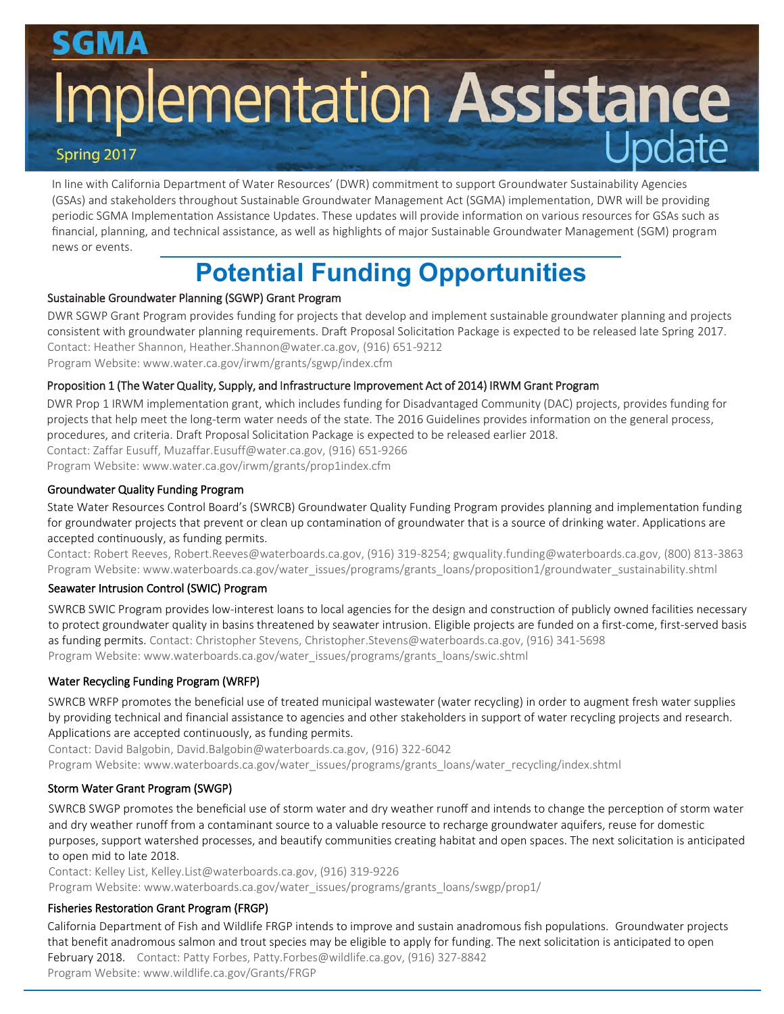# **Implementation Assistance**

In line with California Department of Water Resources' (DWR) commitment to support Groundwater Sustainability Agencies (GSAs) and stakeholders throughout Sustainable Groundwater Management Act (SGMA) implementation, DWR will be providing periodic SGMA Implementation Assistance Updates. These updates will provide information on various resources for GSAs such as financial, planning, and technical assistance, as well as highlights of major Sustainable Groundwater Management (SGM) program news or events.

# **Potential Funding Opportunities**

# Sustainable Groundwater Planning (SGWP) Grant Program

DWR SGWP Grant Program provides funding for projects that develop and implement sustainable groundwater planning and projects consistent with groundwater planning requirements. Draft Proposal Solicitation Package is expected to be released late Spring 2017. Contact: Heather Shannon, Heather.Shannon@water.ca.gov, (916) 651-9212 Program Website: www.water.ca.gov/irwm/grants/sgwp/index.cfm

# Proposition 1 (The Water Quality, Supply, and Infrastructure Improvement Act of 2014) IRWM Grant Program

DWR Prop 1 IRWM implementation grant, which includes funding for Disadvantaged Community (DAC) projects, provides funding for projects that help meet the long-term water needs of the state. The 2016 Guidelines provides information on the general process, procedures, and criteria. Draft Proposal Solicitation Package is expected to be released earlier 2018.

Contact: Zaffar Eusuff, Muzaffar.Eusuff@water.ca.gov, (916) 651-9266

Program Website: www.water.ca.gov/irwm/grants/prop1index.cfm

# Groundwater Quality Funding Program

State Water Resources Control Board's (SWRCB) Groundwater Quality Funding Program provides planning and implementation funding for groundwater projects that prevent or clean up contamination of groundwater that is a source of drinking water. Applications are accepted continuously, as funding permits.

Contact: Robert Reeves, Robert.Reeves@waterboards.ca.gov, (916) 319-8254; gwquality.funding@waterboards.ca.gov, (800) 813-3863 Program Website: www.waterboards.ca.gov/water\_issues/programs/grants\_loans/proposition1/groundwater\_sustainability.shtml

# Seawater Intrusion Control (SWIC) Program

SWRCB SWIC Program provides low-interest loans to local agencies for the design and construction of publicly owned facilities necessary to protect groundwater quality in basins threatened by seawater intrusion. Eligible projects are funded on a first-come, first-served basis as funding permits. Contact: Christopher Stevens, Christopher.Stevens@waterboards.ca.gov, (916) 341-5698 Program Website: www.waterboards.ca.gov/water\_issues/programs/grants\_loans/swic.shtml

# Water Recycling Funding Program (WRFP)

SWRCB WRFP promotes the beneficial use of treated municipal wastewater (water recycling) in order to augment fresh water supplies by providing technical and financial assistance to agencies and other stakeholders in support of water recycling projects and research. Applications are accepted continuously, as funding permits.

Contact: David Balgobin, David.Balgobin@waterboards.ca.gov, (916) 322-6042 Program Website: www.waterboards.ca.gov/water\_issues/programs/grants\_loans/water\_recycling/index.shtml

# Storm Water Grant Program (SWGP)

SWRCB SWGP promotes the beneficial use of storm water and dry weather runoff and intends to change the perception of storm water and dry weather runoff from a contaminant source to a valuable resource to recharge groundwater aquifers, reuse for domestic purposes, support watershed processes, and beautify communities creating habitat and open spaces. The next solicitation is anticipated to open mid to late 2018.

Contact: Kelley List, Kelley.List@waterboards.ca.gov, (916) 319-9226 Program Website: www.waterboards.ca.gov/water\_issues/programs/grants\_loans/swgp/prop1/

# Fisheries Restoration Grant Program (FRGP)

California Department of Fish and Wildlife FRGP intends to improve and sustain anadromous fish populations. Groundwater projects that benefit anadromous salmon and trout species may be eligible to apply for funding. The next solicitation is anticipated to open February 2018. Contact: Patty Forbes, Patty.Forbes@wildlife.ca.gov, (916) 327-8842 Program Website: www.wildlife.ca.gov/Grants/FRGP